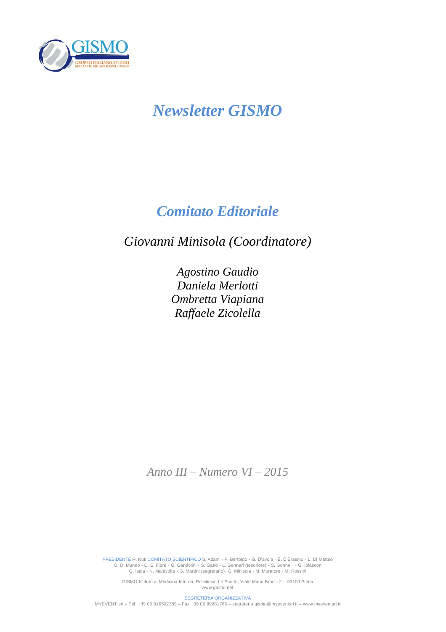

# *Newsletter GISMO*

# *Comitato Editoriale*

*Giovanni Minisola (Coordinatore)*

*Agostino Gaudio Daniela Merlotti Ombretta Viapiana Raffaele Zicolella*

*Anno III – Numero VI – 2015*

PRESIDENTE R. Nuti COMITATO SCIENTIFICO S. Adami - F. Bertoldo - G. D'avola - E. D'Erasmo - L. Di Matteo<br>O. Di Munno - C. E. Fiore - G. Gandolini - S. Gatto - L. Gennari (tesoriere) - S. Gonnelli - G. Iolascon<br>G. Isaia - N

GISMO Istituto di Medicina Interna, Policlinico Le Scotte, Viale Mario Bracci 2 – 53100 Siena www.gismo.net

SEGRETERIA ORGANIZZATIVA

MYEVENT srl – Tel. +39 06 916502389 – Fax +39 06 89281786 – segreteria.gismo@myeventsrl.it – www.myeventsrl.it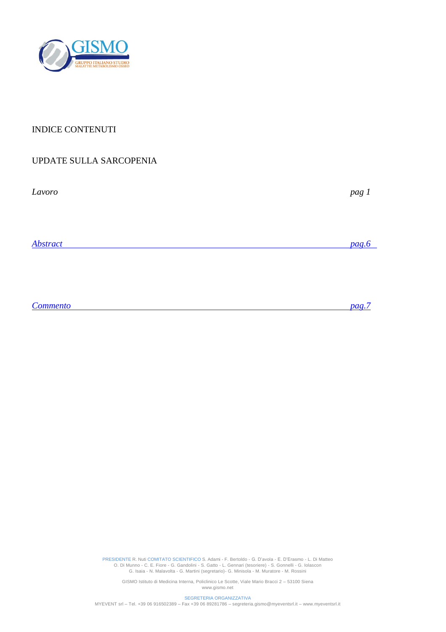

## <span id="page-1-0"></span>INDICE CONTENUTI

## UPDATE SULLA SARCOPENIA

*Lavoro pag 1*

*[Abstract](#page-7-0) pag.6*

*[Commento pag.7](#page-8-0)*

PRESIDENTE R. Nuti COMITATO SCIENTIFICO S. Adami - F. Bertoldo - G. D'avola - E. D'Erasmo - L. Di Matteo<br>O. Di Munno - C. E. Fiore - G. Gandolini - S. Gatto - L. Gennari (tesoriere) - S. Gonnelli - G. Iolascon<br>G. Isaia - N

GISMO Istituto di Medicina Interna, Policlinico Le Scotte, Viale Mario Bracci 2 – 53100 Siena www.gismo.net

SEGRETERIA ORGANIZZATIVA<br>MYEVENT srl – Tel. +39 06 916502389 – Fax +39 06 89281786 – segreteria.gismo@myeventsrl.it – www.myeventsrl.it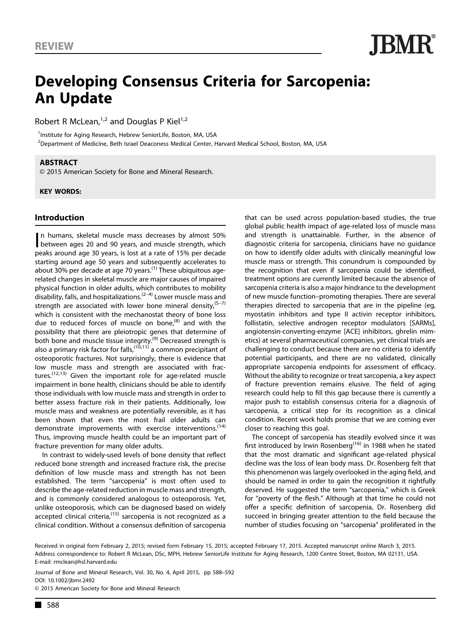## Developing Consensus Criteria for Sarcopenia: An Update

Robert R McLean, $1,2$  and Douglas P Kiel $1,2$ 

<sup>1</sup>Institute for Aging Research, Hebrew SeniorLife, Boston, MA, USA 2 Department of Medicine, Beth Israel Deaconess Medical Center, Harvard Medical School, Boston, MA, USA

#### **ABSTRACT**

© 2015 American Society for Bone and Mineral Research.

KEY WORDS:

#### Introduction

In humans, skeletal muscle mass decreases by almost 50%<br>between ages 20 and 90 years, and muscle strength, which n humans, skeletal muscle mass decreases by almost 50% peaks around age 30 years, is lost at a rate of 15% per decade starting around age 50 years and subsequently accelerates to about 30% per decade at age 70 years.<sup>(1)</sup> These ubiquitous agerelated changes in skeletal muscle are major causes of impaired physical function in older adults, which contributes to mobility  $\overline{d}$  disability, falls, and hospitalizations.<sup>(2–4)</sup> Lower muscle mass and strength are associated with lower bone mineral density,  $(5-7)$ which is consistent with the mechanostat theory of bone loss due to reduced forces of muscle on bone, $^{(8)}$  and with the possibility that there are pleiotropic genes that determine of both bone and muscle tissue integrity.<sup>(9)</sup> Decreased strength is also a primary risk factor for falls,<sup>(10,11)</sup> a common precipitant of osteoporotic fractures. Not surprisingly, there is evidence that low muscle mass and strength are associated with fractures.<sup>(12,13)</sup> Given the important role for age-related muscle impairment in bone health, clinicians should be able to identify those individuals with low muscle mass and strength in order to better assess fracture risk in their patients. Additionally, low muscle mass and weakness are potentially reversible, as it has been shown that even the most frail older adults can demonstrate improvements with exercise interventions.<sup>(14)</sup> Thus, improving muscle health could be an important part of fracture prevention for many older adults.

In contrast to widely-used levels of bone density that reflect reduced bone strength and increased fracture risk, the precise definition of low muscle mass and strength has not been established. The term "sarcopenia" is most often used to describe the age-related reduction in muscle mass and strength, and is commonly considered analogous to osteoporosis. Yet, unlike osteoporosis, which can be diagnosed based on widely accepted clinical criteria,<sup>(15)</sup> sarcopenia is not recognized as a clinical condition. Without a consensus definition of sarcopenia

that can be used across population-based studies, the true global public health impact of age-related loss of muscle mass and strength is unattainable. Further, in the absence of diagnostic criteria for sarcopenia, clinicians have no guidance on how to identify older adults with clinically meaningful low muscle mass or strength. This conundrum is compounded by the recognition that even if sarcopenia could be identified, treatment options are currently limited because the absence of sarcopenia criteria is also a major hindrance to the development of new muscle function–promoting therapies. There are several therapies directed to sarcopenia that are in the pipeline (eg, myostatin inhibitors and type II activin receptor inhibitors, follistatin, selective androgen receptor modulators [SARMs], angiotensin-converting-enzyme [ACE] inhibitors, ghrelin mimetics) at several pharmaceutical companies, yet clinical trials are challenging to conduct because there are no criteria to identify potential participants, and there are no validated, clinically appropriate sarcopenia endpoints for assessment of efficacy. Without the ability to recognize or treat sarcopenia, a key aspect of fracture prevention remains elusive. The field of aging research could help to fill this gap because there is currently a major push to establish consensus criteria for a diagnosis of sarcopenia, a critical step for its recognition as a clinical condition. Recent work holds promise that we are coming ever closer to reaching this goal.

The concept of sarcopenia has steadily evolved since it was first introduced by Irwin Rosenberg<sup>(16)</sup> in 1988 when he stated that the most dramatic and significant age-related physical decline was the loss of lean body mass. Dr. Rosenberg felt that this phenomenon was largely overlooked in the aging field, and should be named in order to gain the recognition it rightfully deserved. He suggested the term "sarcopenia," which is Greek for "poverty of the flesh." Although at that time he could not offer a specific definition of sarcopenia, Dr. Rosenberg did succeed in bringing greater attention to the field because the number of studies focusing on "sarcopenia" proliferated in the

Received in original form February 2, 2015; revised form February 15, 2015; accepted February 17, 2015. Accepted manuscript online March 3, 2015. Address correspondence to: Robert R McLean, DSc, MPH, Hebrew SeniorLife Institute for Aging Research, 1200 Centre Street, Boston, MA 02131, USA. E-mail: rmclean@hsl.harvard.edu

Journal of Bone and Mineral Research, Vol. 30, No. 4, April 2015, pp 588–592 DOI: 10.1002/jbmr.2492

© 2015 American Society for Bone and Mineral Research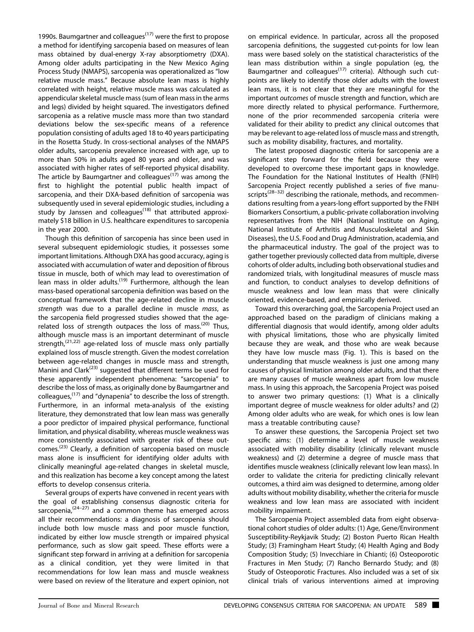1990s. Baumgartner and colleagues $(17)$  were the first to propose a method for identifying sarcopenia based on measures of lean mass obtained by dual-energy X-ray absorptiometry (DXA). Among older adults participating in the New Mexico Aging Process Study (NMAPS), sarcopenia was operationalized as "low relative muscle mass." Because absolute lean mass is highly correlated with height, relative muscle mass was calculated as appendicular skeletal muscle mass (sum of lean mass in the arms and legs) divided by height squared. The investigators defined sarcopenia as a relative muscle mass more than two standard deviations below the sex-specific means of a reference population consisting of adults aged 18 to 40 years participating in the Rosetta Study. In cross-sectional analyses of the NMAPS older adults, sarcopenia prevalence increased with age, up to more than 50% in adults aged 80 years and older, and was associated with higher rates of self-reported physical disability. The article by Baumgartner and colleagues<sup> $(17)$ </sup> was among the first to highlight the potential public health impact of sarcopenia, and their DXA-based definition of sarcopenia was subsequently used in several epidemiologic studies, including a study by Janssen and colleagues<sup> $(18)$ </sup> that attributed approximately \$18 billion in U.S. healthcare expenditures to sarcopenia in the year 2000.

Though this definition of sarcopenia has since been used in several subsequent epidemiologic studies, it possesses some important limitations. Although DXA has good accuracy, aging is associated with accumulation of water and deposition of fibrous tissue in muscle, both of which may lead to overestimation of lean mass in older adults.<sup>(19)</sup> Furthermore, although the lean mass-based operational sarcopenia definition was based on the conceptual framework that the age-related decline in muscle strength was due to a parallel decline in muscle mass, as the sarcopenia field progressed studies showed that the agerelated loss of strength outpaces the loss of mass.<sup>(20)</sup> Thus, although muscle mass is an important determinant of muscle strength,<sup>(21,22)</sup> age-related loss of muscle mass only partially explained loss of muscle strength. Given the modest correlation between age-related changes in muscle mass and strength, Manini and Clark<sup> $(23)$ </sup> suggested that different terms be used for these apparently independent phenomena: "sarcopenia" to describe the loss of mass, as originally done by Baumgartner and colleagues, $^{(17)}$  and "dynapenia" to describe the loss of strength. Furthermore, in an informal meta-analysis of the existing literature, they demonstrated that low lean mass was generally a poor predictor of impaired physical performance, functional limitation, and physical disability, whereas muscle weakness was more consistently associated with greater risk of these outcomes.<sup> $(23)$ </sup> Clearly, a definition of sarcopenia based on muscle mass alone is insufficient for identifying older adults with clinically meaningful age-related changes in skeletal muscle, and this realization has become a key concept among the latest efforts to develop consensus criteria.

Several groups of experts have convened in recent years with the goal of establishing consensus diagnostic criteria for sarcopenia, $(24-27)$  and a common theme has emerged across all their recommendations: a diagnosis of sarcopenia should include both low muscle mass and poor muscle function, indicated by either low muscle strength or impaired physical performance, such as slow gait speed. These efforts were a significant step forward in arriving at a definition for sarcopenia as a clinical condition, yet they were limited in that recommendations for low lean mass and muscle weakness were based on review of the literature and expert opinion, not

on empirical evidence. In particular, across all the proposed sarcopenia definitions, the suggested cut-points for low lean mass were based solely on the statistical characteristics of the lean mass distribution within a single population (eg, the Baumgartner and colleagues<sup>(17)</sup> criteria). Although such cutpoints are likely to identify those older adults with the lowest lean mass, it is not clear that they are meaningful for the important outcomes of muscle strength and function, which are more directly related to physical performance. Furthermore, none of the prior recommended sarcopenia criteria were validated for their ability to predict any clinical outcomes that may be relevant to age-related loss of muscle mass and strength, such as mobility disability, fractures, and mortality.

The latest proposed diagnostic criteria for sarcopenia are a significant step forward for the field because they were developed to overcome these important gaps in knowledge. The Foundation for the National Institutes of Health (FNIH) Sarcopenia Project recently published a series of five manuscripts<sup> $(28-32)$ </sup> describing the rationale, methods, and recommendations resulting from a years-long effort supported by the FNIH Biomarkers Consortium, a public-private collaboration involving representatives from the NIH (National Institute on Aging, National Institute of Arthritis and Musculoskeletal and Skin Diseases), the U.S. Food and Drug Administration, academia, and the pharmaceutical industry. The goal of the project was to gather together previously collected data from multiple, diverse cohorts of older adults, including both observational studies and randomized trials, with longitudinal measures of muscle mass and function, to conduct analyses to develop definitions of muscle weakness and low lean mass that were clinically oriented, evidence-based, and empirically derived.

Toward this overarching goal, the Sarcopenia Project used an approached based on the paradigm of clinicians making a differential diagnosis that would identify, among older adults with physical limitations, those who are physically limited because they are weak, and those who are weak because they have low muscle mass (Fig. 1). This is based on the understanding that muscle weakness is just one among many causes of physical limitation among older adults, and that there are many causes of muscle weakness apart from low muscle mass. In using this approach, the Sarcopenia Project was poised to answer two primary questions: (1) What is a clinically important degree of muscle weakness for older adults? and (2) Among older adults who are weak, for which ones is low lean mass a treatable contributing cause?

To answer these questions, the Sarcopenia Project set two specific aims: (1) determine a level of muscle weakness associated with mobility disability (clinically relevant muscle weakness) and (2) determine a degree of muscle mass that identifies muscle weakness (clinically relevant low lean mass). In order to validate the criteria for predicting clinically relevant outcomes, a third aim was designed to determine, among older adults without mobility disability, whether the criteria for muscle weakness and low lean mass are associated with incident mobility impairment.

The Sarcopenia Project assembled data from eight observational cohort studies of older adults: (1) Age, Gene/Environment Susceptibility-Reykjavik Study; (2) Boston Puerto Rican Health Study; (3) Framingham Heart Study; (4) Health Aging and Body Composition Study; (5) Invecchiare in Chianti; (6) Osteoporotic Fractures in Men Study; (7) Rancho Bernardo Study; and (8) Study of Osteoporotic Fractures. Also included was a set of six clinical trials of various interventions aimed at improving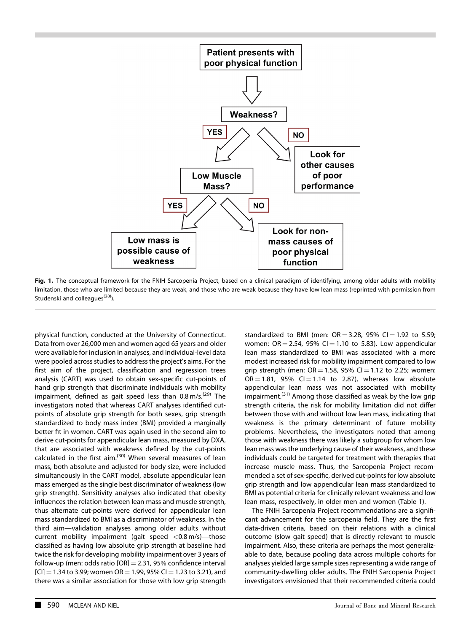

Fig. 1. The conceptual framework for the FNIH Sarcopenia Project, based on a clinical paradigm of identifying, among older adults with mobility limitation, those who are limited because they are weak, and those who are weak because they have low lean mass (reprinted with permission from Studenski and colleagues<sup>(28)</sup>).

physical function, conducted at the University of Connecticut. Data from over 26,000 men and women aged 65 years and older were available for inclusion in analyses, and individual-level data were pooled across studies to address the project's aims. For the first aim of the project, classification and regression trees analysis (CART) was used to obtain sex-specific cut-points of hand grip strength that discriminate individuals with mobility impairment, defined as gait speed less than  $0.8 \text{ m/s}$ . The investigators noted that whereas CART analyses identified cutpoints of absolute grip strength for both sexes, grip strength standardized to body mass index (BMI) provided a marginally better fit in women. CART was again used in the second aim to derive cut-points for appendicular lean mass, measured by DXA, that are associated with weakness defined by the cut-points calculated in the first aim.<sup>(30)</sup> When several measures of lean mass, both absolute and adjusted for body size, were included simultaneously in the CART model, absolute appendicular lean mass emerged as the single best discriminator of weakness (low grip strength). Sensitivity analyses also indicated that obesity influences the relation between lean mass and muscle strength, thus alternate cut-points were derived for appendicular lean mass standardized to BMI as a discriminator of weakness. In the third aim—validation analyses among older adults without current mobility impairment (gait speed  $< 0.8$  m/s)-those classified as having low absolute grip strength at baseline had twice the risk for developing mobility impairment over 3 years of follow-up (men: odds ratio  $[OR] = 2.31$ , 95% confidence interval  $[C] = 1.34$  to 3.99; women OR = 1.99, 95% CI = 1.23 to 3.21), and there was a similar association for those with low grip strength

standardized to BMI (men:  $OR = 3.28$ , 95% CI = 1.92 to 5.59; women:  $OR = 2.54$ , 95%  $CI = 1.10$  to 5.83). Low appendicular lean mass standardized to BMI was associated with a more modest increased risk for mobility impairment compared to low grip strength (men:  $OR = 1.58$ , 95%  $Cl = 1.12$  to 2.25; women:  $OR = 1.81$ , 95% CI  $= 1.14$  to 2.87), whereas low absolute appendicular lean mass was not associated with mobility impairment.<sup>(31)</sup> Among those classified as weak by the low grip strength criteria, the risk for mobility limitation did not differ between those with and without low lean mass, indicating that weakness is the primary determinant of future mobility problems. Nevertheless, the investigators noted that among those with weakness there was likely a subgroup for whom low lean mass was the underlying cause of their weakness, and these individuals could be targeted for treatment with therapies that increase muscle mass. Thus, the Sarcopenia Project recommended a set of sex-specific, derived cut-points for low absolute grip strength and low appendicular lean mass standardized to BMI as potential criteria for clinically relevant weakness and low lean mass, respectively, in older men and women (Table 1).

The FNIH Sarcopenia Project recommendations are a significant advancement for the sarcopenia field. They are the first data-driven criteria, based on their relations with a clinical outcome (slow gait speed) that is directly relevant to muscle impairment. Also, these criteria are perhaps the most generalizable to date, because pooling data across multiple cohorts for analyses yielded large sample sizes representing a wide range of community-dwelling older adults. The FNIH Sarcopenia Project investigators envisioned that their recommended criteria could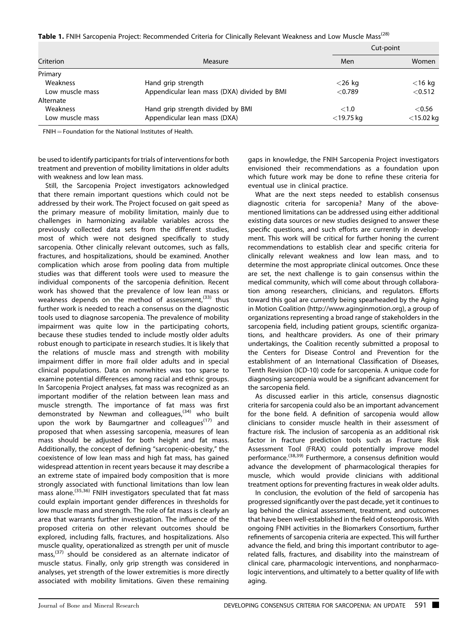| Criterion       | Measure                                     | Cut-point    |              |
|-----------------|---------------------------------------------|--------------|--------------|
|                 |                                             | Men          | Women        |
| Primary         |                                             |              |              |
| Weakness        | Hand grip strength                          | $<$ 26 kg    | $<$ 16 kg    |
| Low muscle mass | Appendicular lean mass (DXA) divided by BMI | $<$ 0.789    | < 0.512      |
| Alternate       |                                             |              |              |
| Weakness        | Hand grip strength divided by BMI           | <1.0         | < 0.56       |
| Low muscle mass | Appendicular lean mass (DXA)                | $<$ 19.75 kg | $<$ 15.02 kg |

 $FNIH = Foundation$  for the National Institutes of Health.

be used to identify participants for trials of interventions for both treatment and prevention of mobility limitations in older adults with weakness and low lean mass.

Still, the Sarcopenia Project investigators acknowledged that there remain important questions which could not be addressed by their work. The Project focused on gait speed as the primary measure of mobility limitation, mainly due to challenges in harmonizing available variables across the previously collected data sets from the different studies, most of which were not designed specifically to study sarcopenia. Other clinically relevant outcomes, such as falls, fractures, and hospitalizations, should be examined. Another complication which arose from pooling data from multiple studies was that different tools were used to measure the individual components of the sarcopenia definition. Recent work has showed that the prevalence of low lean mass or weakness depends on the method of assessment,  $(33)$  thus further work is needed to reach a consensus on the diagnostic tools used to diagnose sarcopenia. The prevalence of mobility impairment was quite low in the participating cohorts, because these studies tended to include mostly older adults robust enough to participate in research studies. It is likely that the relations of muscle mass and strength with mobility impairment differ in more frail older adults and in special clinical populations. Data on nonwhites was too sparse to examine potential differences among racial and ethnic groups. In Sarcopenia Project analyses, fat mass was recognized as an important modifier of the relation between lean mass and muscle strength. The importance of fat mass was first demonstrated by Newman and colleagues,<sup>(34)</sup> who built upon the work by Baumgartner and colleagues<sup>(17)</sup> and proposed that when assessing sarcopenia, measures of lean mass should be adjusted for both height and fat mass. Additionally, the concept of defining "sarcopenic-obesity," the coexistence of low lean mass and high fat mass, has gained widespread attention in recent years because it may describe a an extreme state of impaired body composition that is more strongly associated with functional limitations than low lean mass alone.<sup>(35,36)</sup> FNIH investigators speculated that fat mass could explain important gender differences in thresholds for low muscle mass and strength. The role of fat mass is clearly an area that warrants further investigation. The influence of the proposed criteria on other relevant outcomes should be explored, including falls, fractures, and hospitalizations. Also muscle quality, operationalized as strength per unit of muscle mass,  $(37)$  should be considered as an alternate indicator of muscle status. Finally, only grip strength was considered in analyses, yet strength of the lower extremities is more directly associated with mobility limitations. Given these remaining

gaps in knowledge, the FNIH Sarcopenia Project investigators envisioned their recommendations as a foundation upon which future work may be done to refine these criteria for eventual use in clinical practice.

What are the next steps needed to establish consensus diagnostic criteria for sarcopenia? Many of the abovementioned limitations can be addressed using either additional existing data sources or new studies designed to answer these specific questions, and such efforts are currently in development. This work will be critical for further honing the current recommendations to establish clear and specific criteria for clinically relevant weakness and low lean mass, and to determine the most appropriate clinical outcomes. Once these are set, the next challenge is to gain consensus within the medical community, which will come about through collaboration among researchers, clinicians, and regulators. Efforts toward this goal are currently being spearheaded by the Aging in Motion Coalition (http://www.aginginmotion.org), a group of organizations representing a broad range of stakeholders in the sarcopenia field, including patient groups, scientific organizations, and healthcare providers. As one of their primary undertakings, the Coalition recently submitted a proposal to the Centers for Disease Control and Prevention for the establishment of an International Classification of Diseases, Tenth Revision (ICD-10) code for sarcopenia. A unique code for diagnosing sarcopenia would be a significant advancement for the sarcopenia field.

As discussed earlier in this article, consensus diagnostic criteria for sarcopenia could also be an important advancement for the bone field. A definition of sarcopenia would allow clinicians to consider muscle health in their assessment of fracture risk. The inclusion of sarcopenia as an additional risk factor in fracture prediction tools such as Fracture Risk Assessment Tool (FRAX) could potentially improve model performance.(38,39) Furthermore, a consensus definition would advance the development of pharmacological therapies for muscle, which would provide clinicians with additional treatment options for preventing fractures in weak older adults.

In conclusion, the evolution of the field of sarcopenia has progressed significantly over the past decade, yet it continues to lag behind the clinical assessment, treatment, and outcomes that have been well-established in the field of osteoporosis. With ongoing FNIH activities in the Biomarkers Consortium, further refinements of sarcopenia criteria are expected. This will further advance the field, and bring this important contributor to agerelated falls, fractures, and disability into the mainstream of clinical care, pharmacologic interventions, and nonpharmacologic interventions, and ultimately to a better quality of life with aging.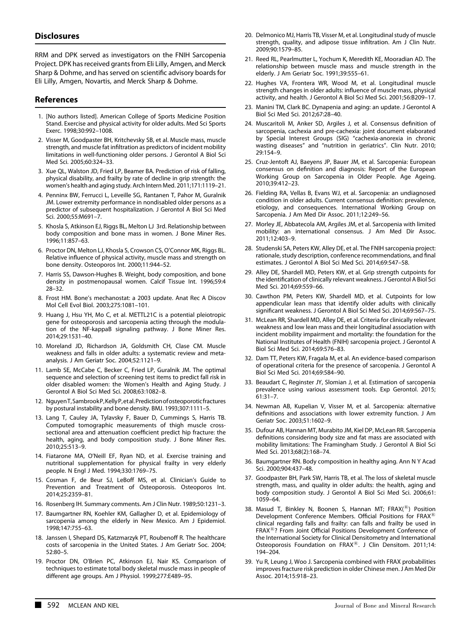#### **Disclosures**

RRM and DPK served as investigators on the FNIH Sarcopenia Project. DPK has received grants from Eli Lilly, Amgen, and Merck Sharp & Dohme, and has served on scientific advisory boards for Eli Lilly, Amgen, Novartis, and Merck Sharp & Dohme.

#### References

- 1. [No authors listed]. American College of Sports Medicine Position Stand. Exercise and physical activity for older adults. Med Sci Sports Exerc. 1998;30:992–1008.
- 2. Visser M, Goodpaster BH, Kritchevsky SB, et al. Muscle mass, muscle strength, and muscle fat infiltration as predictors of incident mobility limitations in well-functioning older persons. J Gerontol A Biol Sci Med Sci. 2005;60:324–33.
- 3. Xue QL, Walston JD, Fried LP, Beamer BA. Prediction of risk of falling, physical disability, and frailty by rate of decline in grip strength: the women's health and aging study. Arch Intern Med. 2011;171:1119–21.
- 4. Penninx BW, Ferrucci L, Leveille SG, Rantanen T, Pahor M, Guralnik JM. Lower extremity performance in nondisabled older persons as a predictor of subsequent hospitalization. J Gerontol A Biol Sci Med Sci. 2000;55:M691–7.
- 5. Khosla S, Atkinson EJ, Riggs BL, Melton LJ 3rd. Relationship between body composition and bone mass in women. J Bone Miner Res. 1996;11:857–63.
- 6. Proctor DN, Melton LJ, Khosla S, Crowson CS, O'Connor MK, Riggs BL. Relative influence of physical activity, muscle mass and strength on bone density. Osteoporos Int. 2000;11:944–52.
- 7. Harris SS, Dawson-Hughes B. Weight, body composition, and bone density in postmenopausal women. Calcif Tissue Int. 1996;59:4 28–32.
- 8. Frost HM. Bone's mechanostat: a 2003 update. Anat Rec A Discov Mol Cell Evol Biol. 2003;275:1081–101.
- 9. Huang J, Hsu YH, Mo C, et al. METTL21C is a potential pleiotropic gene for osteoporosis and sarcopenia acting through the modulation of the NF-kappaB signaling pathway. J Bone Miner Res. 2014;29:1531–40.
- 10. Moreland JD, Richardson JA, Goldsmith CH, Clase CM. Muscle weakness and falls in older adults: a systematic review and metaanalysis. J Am Geriatr Soc. 2004;52:1121–9.
- 11. Lamb SE, McCabe C, Becker C, Fried LP, Guralnik JM. The optimal sequence and selection of screening test items to predict fall risk in older disabled women: the Women's Health and Aging Study. J Gerontol A Biol Sci Med Sci. 2008;63:1082–8.
- 12. NguyenT,SambrookP,KellyP,etal.Predictionofosteoporoticfractures by postural instability and bone density. BMJ. 1993;307:1111–5.
- 13. Lang T, Cauley JA, Tylavsky F, Bauer D, Cummings S, Harris TB. Computed tomographic measurements of thigh muscle crosssectional area and attenuation coefficient predict hip fracture: the health, aging, and body composition study. J Bone Miner Res. 2010;25:513–9.
- 14. Fiatarone MA, O'Neill EF, Ryan ND, et al. Exercise training and nutritional supplementation for physical frailty in very elderly people. N Engl J Med. 1994;330:1769–75.
- 15. Cosman F, de Beur SJ, LeBoff MS, et al. Clinician's Guide to Prevention and Treatment of Osteoporosis. Osteoporos Int. 2014;25:2359–81.
- 16. Rosenberg IH. Summary comments. Am J Clin Nutr. 1989;50:1231–3.
- 17. Baumgartner RN, Koehler KM, Gallagher D, et al. Epidemiology of sarcopenia among the elderly in New Mexico. Am J Epidemiol. 1998;147:755–63.
- 18. Janssen I, Shepard DS, Katzmarzyk PT, Roubenoff R. The healthcare costs of sarcopenia in the United States. J Am Geriatr Soc. 2004; 52:80–5.
- 19. Proctor DN, O'Brien PC, Atkinson EJ, Nair KS. Comparison of techniques to estimate total body skeletal muscle mass in people of different age groups. Am J Physiol. 1999;277:E489–95.
- 20. Delmonico MJ, Harris TB, Visser M, et al. Longitudinal study of muscle strength, quality, and adipose tissue infiltration. Am J Clin Nutr. 2009;90:1579–85.
- 21. Reed RL, Pearlmutter L, Yochum K, Meredith KE, Mooradian AD. The relationship between muscle mass and muscle strength in the elderly. J Am Geriatr Soc. 1991;39:555–61.
- 22. Hughes VA, Frontera WR, Wood M, et al. Longitudinal muscle strength changes in older adults: influence of muscle mass, physical activity, and health. J Gerontol A Biol Sci Med Sci. 2001;56:B209–17.
- 23. Manini TM, Clark BC. Dynapenia and aging: an update. J Gerontol A Biol Sci Med Sci. 2012;67:28–40.
- 24. Muscaritoli M, Anker SD, Argiles J, et al. Consensus definition of sarcopenia, cachexia and pre-cachexia: joint document elaborated by Special Interest Groups (SIG) "cachexia-anorexia in chronic wasting diseases" and "nutrition in geriatrics". Clin Nutr. 2010; 29:154–9.
- 25. Cruz-Jentoft AJ, Baeyens JP, Bauer JM, et al. Sarcopenia: European consensus on definition and diagnosis: Report of the European Working Group on Sarcopenia in Older People. Age Ageing. 2010;39:412–23.
- 26. Fielding RA, Vellas B, Evans WJ, et al. Sarcopenia: an undiagnosed condition in older adults. Current consensus definition: prevalence, etiology, and consequences. International Working Group on Sarcopenia. J Am Med Dir Assoc. 2011;12:249–56.
- 27. Morley JE, Abbatecola AM, Argiles JM, et al. Sarcopenia with limited mobility: an international consensus. J Am Med Dir Assoc. 2011;12:403–9.
- 28. Studenski SA, Peters KW, Alley DE, et al. The FNIH sarcopenia project: rationale, study description, conference recommendations, and final estimates. J Gerontol A Biol Sci Med Sci. 2014;69:547–58.
- 29. Alley DE, Shardell MD, Peters KW, et al. Grip strength cutpoints for the identification of clinically relevant weakness. J Gerontol A Biol Sci Med Sci. 2014;69:559–66.
- 30. Cawthon PM, Peters KW, Shardell MD, et al. Cutpoints for low appendicular lean mass that identify older adults with clinically significant weakness. J Gerontol A Biol Sci Med Sci. 2014;69:567–75.
- 31. McLean RR, Shardell MD, Alley DE, et al. Criteria for clinically relevant weakness and low lean mass and their longitudinal association with incident mobility impairment and mortality: the foundation for the National Institutes of Health (FNIH) sarcopenia project. J Gerontol A Biol Sci Med Sci. 2014;69:576–83.
- 32. Dam TT, Peters KW, Fragala M, et al. An evidence-based comparison of operational criteria for the presence of sarcopenia. J Gerontol A Biol Sci Med Sci. 2014;69:584–90.
- 33. Beaudart C, Reginster JY, Slomian J, et al. Estimation of sarcopenia prevalence using various assessment tools. Exp Gerontol. 2015; 61:31–7.
- 34. Newman AB, Kupelian V, Visser M, et al. Sarcopenia: alternative definitions and associations with lower extremity function. J Am Geriatr Soc. 2003;51:1602–9.
- 35. Dufour AB, Hannan MT, Murabito JM, Kiel DP, McLean RR. Sarcopenia definitions considering body size and fat mass are associated with mobility limitations: The Framingham Study. J Gerontol A Biol Sci Med Sci. 2013;68(2):168–74.
- 36. Baumgartner RN. Body composition in healthy aging. Ann N Y Acad Sci. 2000;904:437–48.
- 37. Goodpaster BH, Park SW, Harris TB, et al. The loss of skeletal muscle strength, mass, and quality in older adults: the health, aging and body composition study. J Gerontol A Biol Sci Med Sci. 2006;61: 1059–64.
- 38. Masud T, Binkley N, Boonen S, Hannan MT; FRAX $(\mathbb{R})$  Position Development Conference Members. Official Positions for FRAX $^{18}$ clinical regarding falls and frailty: can falls and frailty be used in FRAX<sup>®</sup>? From Joint Official Positions Development Conference of the International Society for Clinical Densitometry and International Osteoporosis Foundation on FRAX<sup>®</sup>. J Clin Densitom. 2011;14: 194–204.
- 39. Yu R, Leung J, Woo J. Sarcopenia combined with FRAX probabilities improves fracture risk prediction in older Chinese men. J Am Med Dir Assoc. 2014;15:918–23.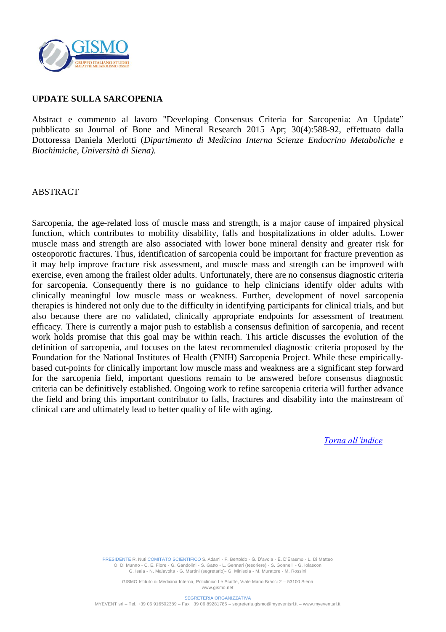

## **UPDATE SULLA SARCOPENIA**

Abstract e commento al lavoro "Developing Consensus Criteria for Sarcopenia: An Update" pubblicato su Journal of Bone and Mineral Research 2015 Apr; 30(4):588-92, effettuato dalla Dottoressa Daniela Merlotti (*Dipartimento di Medicina Interna Scienze Endocrino Metaboliche e Biochimiche, Università di Siena).* 

### <span id="page-7-0"></span>ABSTRACT

Sarcopenia, the age-related loss of muscle mass and strength, is a major cause of impaired physical function, which contributes to mobility disability, falls and hospitalizations in older adults. Lower muscle mass and strength are also associated with lower bone mineral density and greater risk for osteoporotic fractures. Thus, identification of sarcopenia could be important for fracture prevention as it may help improve fracture risk assessment, and muscle mass and strength can be improved with exercise, even among the frailest older adults. Unfortunately, there are no consensus diagnostic criteria for sarcopenia. Consequently there is no guidance to help clinicians identify older adults with clinically meaningful low muscle mass or weakness. Further, development of novel sarcopenia therapies is hindered not only due to the difficulty in identifying participants for clinical trials, and but also because there are no validated, clinically appropriate endpoints for assessment of treatment efficacy. There is currently a major push to establish a consensus definition of sarcopenia, and recent work holds promise that this goal may be within reach. This article discusses the evolution of the definition of sarcopenia, and focuses on the latest recommended diagnostic criteria proposed by the Foundation for the National Institutes of Health (FNIH) Sarcopenia Project. While these empiricallybased cut-points for clinically important low muscle mass and weakness are a significant step forward for the sarcopenia field, important questions remain to be answered before consensus diagnostic criteria can be definitively established. Ongoing work to refine sarcopenia criteria will further advance the field and bring this important contributor to falls, fractures and disability into the mainstream of clinical care and ultimately lead to better quality of life with aging.

*[Torna all'indice](#page-1-0)*

PRESIDENTE R. Nuti COMITATO SCIENTIFICO S. Adami - F. Bertoldo - G. D'avola - E. D'Erasmo - L. Di Matteo O. Di Munno - C. E. Fiore - G. Gandolini - S. Gatto - L. Gennari (tesoriere) - S. Gonnelli - G. Iolascon G. Isaia - N. Malavolta - G. Martini (segretario)- G. Minisola - M. Muratore - M. Rossini

GISMO Istituto di Medicina Interna, Policlinico Le Scotte, Viale Mario Bracci 2 – 53100 Siena www.gismo.net

SEGRETERIA ORGANIZZATIVA